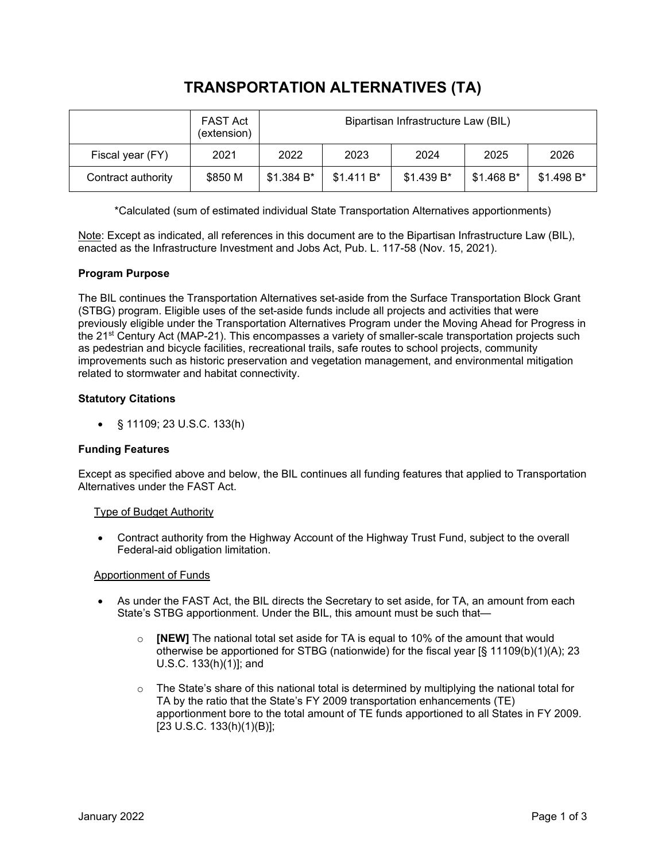# **TRANSPORTATION ALTERNATIVES (TA)**

|                    | FAST Act<br>(extension) | Bipartisan Infrastructure Law (BIL) |             |            |             |             |
|--------------------|-------------------------|-------------------------------------|-------------|------------|-------------|-------------|
| Fiscal year (FY)   | 2021                    | 2022                                | 2023        | 2024       | 2025        | 2026        |
| Contract authority | \$850 M                 | \$1.384 B*                          | $$1.411 B*$ | \$1.439 B* | $$1.468 B*$ | $$1.498 B*$ |

\*Calculated (sum of estimated individual State Transportation Alternatives apportionments)

Note: Except as indicated, all references in this document are to the Bipartisan Infrastructure Law (BIL), enacted as the Infrastructure Investment and Jobs Act, Pub. L. 117-58 (Nov. 15, 2021).

# **Program Purpose**

The BIL continues the Transportation Alternatives set-aside from the Surface Transportation Block Grant (STBG) program. Eligible uses of the set-aside funds include all projects and activities that were previously eligible under the Transportation Alternatives Program under the Moving Ahead for Progress in the 21st Century Act (MAP-21). This encompasses a variety of smaller-scale transportation projects such as pedestrian and bicycle facilities, recreational trails, safe routes to school projects, community improvements such as historic preservation and vegetation management, and environmental mitigation related to stormwater and habitat connectivity.

# **Statutory Citations**

• § 11109; 23 U.S.C. 133(h)

## **Funding Features**

Except as specified above and below, the BIL continues all funding features that applied to Transportation Alternatives under the FAST Act.

## Type of Budget Authority

• Contract authority from the Highway Account of the Highway Trust Fund, subject to the overall Federal-aid obligation limitation.

## Apportionment of Funds

- As under the FAST Act, the BIL directs the Secretary to set aside, for TA, an amount from each State's STBG apportionment. Under the BIL, this amount must be such that
	- o **[NEW]** The national total set aside for TA is equal to 10% of the amount that would otherwise be apportioned for STBG (nationwide) for the fiscal year [§ 11109(b)(1)(A); 23 U.S.C. 133(h)(1)]; and
	- $\circ$  The State's share of this national total is determined by multiplying the national total for TA by the ratio that the State's FY 2009 transportation enhancements (TE) apportionment bore to the total amount of TE funds apportioned to all States in FY 2009. [23 U.S.C. 133(h)(1)(B)];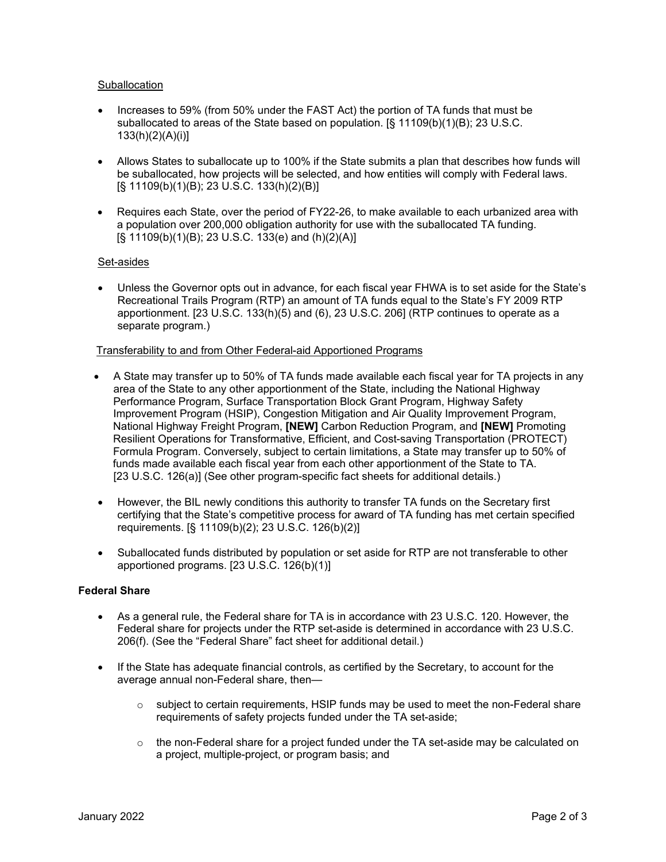## **Suballocation**

- Increases to 59% (from 50% under the FAST Act) the portion of TA funds that must be suballocated to areas of the State based on population. [§ 11109(b)(1)(B); 23 U.S.C. 133(h)(2)(A)(i)]
- Allows States to suballocate up to 100% if the State submits a plan that describes how funds will be suballocated, how projects will be selected, and how entities will comply with Federal laws. [§ 11109(b)(1)(B); 23 U.S.C. 133(h)(2)(B)]
- Requires each State, over the period of FY22-26, to make available to each urbanized area with a population over 200,000 obligation authority for use with the suballocated TA funding. [§ 11109(b)(1)(B); 23 U.S.C. 133(e) and (h)(2)(A)]

## Set-asides

• Unless the Governor opts out in advance, for each fiscal year FHWA is to set aside for the State's Recreational Trails Program (RTP) an amount of TA funds equal to the State's FY 2009 RTP apportionment. [23 U.S.C. 133(h)(5) and (6), 23 U.S.C. 206] (RTP continues to operate as a separate program.)

#### Transferability to and from Other Federal-aid Apportioned Programs

- A State may transfer up to 50% of TA funds made available each fiscal year for TA projects in any area of the State to any other apportionment of the State, including the National Highway Performance Program, Surface Transportation Block Grant Program, Highway Safety Improvement Program (HSIP), Congestion Mitigation and Air Quality Improvement Program, National Highway Freight Program, **[NEW]** Carbon Reduction Program, and **[NEW]** Promoting Resilient Operations for Transformative, Efficient, and Cost-saving Transportation (PROTECT) Formula Program. Conversely, subject to certain limitations, a State may transfer up to 50% of funds made available each fiscal year from each other apportionment of the State to TA. [23 U.S.C. 126(a)] (See other program-specific fact sheets for additional details.)
- However, the BIL newly conditions this authority to transfer TA funds on the Secretary first certifying that the State's competitive process for award of TA funding has met certain specified requirements. [§ 11109(b)(2); 23 U.S.C. 126(b)(2)]
- Suballocated funds distributed by population or set aside for RTP are not transferable to other apportioned programs. [23 U.S.C. 126(b)(1)]

#### **Federal Share**

- As a general rule, the Federal share for TA is in accordance with 23 U.S.C. 120. However, the Federal share for projects under the RTP set-aside is determined in accordance with 23 U.S.C. 206(f). (See the "Federal Share" fact sheet for additional detail.)
- If the State has adequate financial controls, as certified by the Secretary, to account for the average annual non-Federal share, then—
	- $\circ$  subject to certain requirements, HSIP funds may be used to meet the non-Federal share requirements of safety projects funded under the TA set-aside;
	- $\circ$  the non-Federal share for a project funded under the TA set-aside may be calculated on a project, multiple-project, or program basis; and